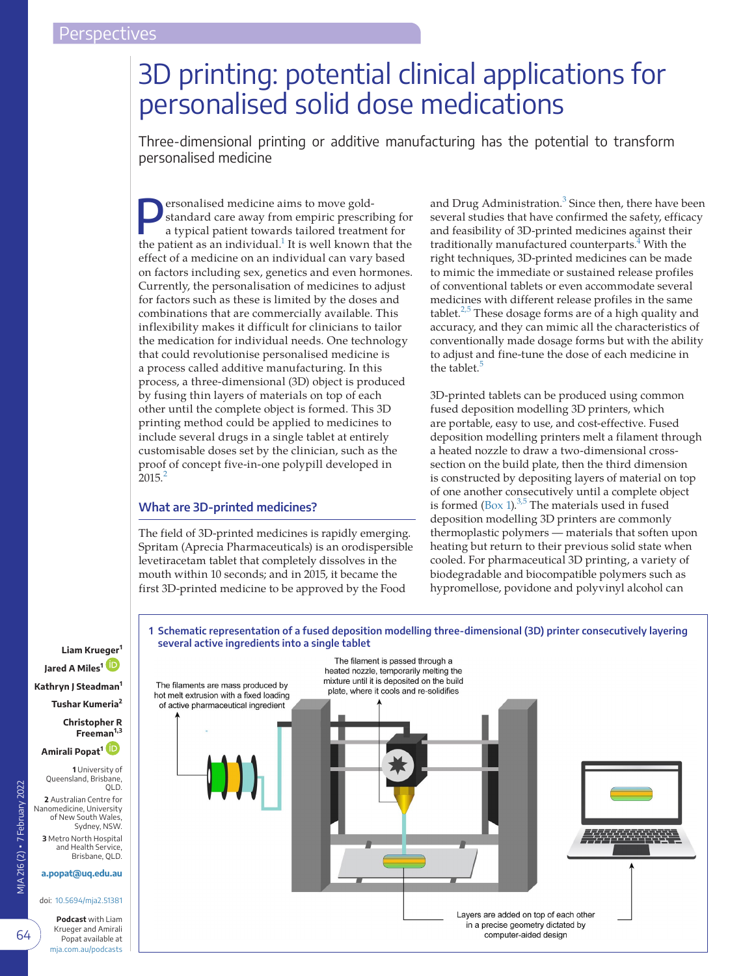# 3D printing: potential clinical applications for personalised solid dose medications

Three-dimensional printing or additive manufacturing has the potential to transform personalised medicine

**Personalised medicine aims to move gold-**<br>
a typical patient towards tailored treatment for<br>
a typical patient towards tailored treatment for standard care away from empiric prescribing for the patient as an individual.<sup>1</sup> It is well known that the effect of a medicine on an individual can vary based on factors including sex, genetics and even hormones. Currently, the personalisation of medicines to adjust for factors such as these is limited by the doses and combinations that are commercially available. This inflexibility makes it difficult for clinicians to tailor the medication for individual needs. One technology that could revolutionise personalised medicine is a process called additive manufacturing. In this process, a three-dimensional (3D) object is produced by fusing thin layers of materials on top of each other until the complete object is formed. This 3D printing method could be applied to medicines to include several drugs in a single tablet at entirely customisable doses set by the clinician, such as the proof of concept five-in-one polypill developed in  $2015.<sup>2</sup>$  $2015.<sup>2</sup>$ 

# **What are 3D-printed medicines?**

<span id="page-0-0"></span>The field of 3D-printed medicines is rapidly emerging. Spritam (Aprecia Pharmaceuticals) is an orodispersible levetiracetam tablet that completely dissolves in the mouth within 10 seconds; and in 2015, it became the first 3D-printed medicine to be approved by the Food

and Drug Administration.<sup>[3](#page-2-2)</sup> Since then, there have been several studies that have confirmed the safety, efficacy and feasibility of 3D-printed medicines against their traditionally manufactured counterparts.<sup>4</sup> With the right techniques, 3D-printed medicines can be made to mimic the immediate or sustained release profiles of conventional tablets or even accommodate several medicines with different release profiles in the same tablet. $2.5$  These dosage forms are of a high quality and accuracy, and they can mimic all the characteristics of conventionally made dosage forms but with the ability to adjust and fine-tune the dose of each medicine in the tablet.<sup>[5](#page-2-4)</sup>

3D-printed tablets can be produced using common fused deposition modelling 3D printers, which are portable, easy to use, and cost-effective. Fused deposition modelling printers melt a filament through a heated nozzle to draw a two-dimensional crosssection on the build plate, then the third dimension is constructed by depositing layers of material on top of one another consecutively until a complete object is formed  $(Box 1).^{3,5}$  $(Box 1).^{3,5}$  $(Box 1).^{3,5}$  $(Box 1).^{3,5}$  The materials used in fused deposition modelling 3D printers are commonly thermoplastic polymers — materials that soften upon heating but return to their previous solid state when cooled. For pharmaceutical 3D printing, a variety of biodegradable and biocompatible polymers such as hypromellose, povidone and polyvinyl alcohol can



**Liam Krueger<sup>1</sup> Jared A Miles<sup>1</sup>**

**Kathryn J Steadman<sup>1</sup>**

**Freeman1,3**

**Amirali Popat<sup>1</sup>**

Queensland, Brisbane, **2** Australian Centre for Nanomedicine, University of New South Wales, Sydney, NSW. **3** Metro North Hospital and Health Service,

**[a.popat@uq.edu.au](mailto:a.popat@uq.edu.au)**

#### doi: [10.5694/mja2.51381](https://doi.org/10.5694/mja2.51381)

**Podcast** with Liam Krueger and Amirali Popat available at [mja.com.au/podcasts](https://mja.com.au/podcasts)

MJA 216 (2) ▪ 7 February 2022

VIA 216 (2) • 7 February 2022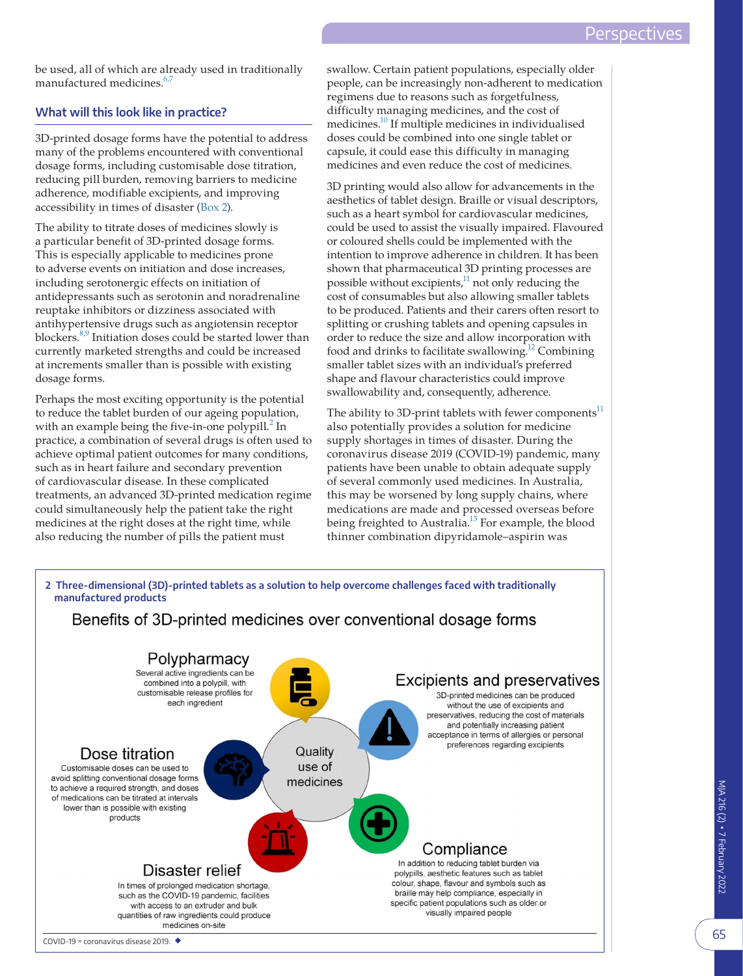be used, all of which are already used in traditionally manufactured medicines.<sup>6,</sup>

# **What will this look like in practice?**

3D-printed dosage forms have the potential to address many of the problems encountered with conventional dosage forms, including customisable dose titration, reducing pill burden, removing barriers to medicine adherence, modifiable excipients, and improving accessibility in times of disaster ([Box 2](#page-1-0)).

The ability to titrate doses of medicines slowly is a particular benefit of 3D-printed dosage forms. This is especially applicable to medicines prone to adverse events on initiation and dose increases, including serotonergic effects on initiation of antidepressants such as serotonin and noradrenaline reuptake inhibitors or dizziness associated with antihypertensive drugs such as angiotensin receptor blockers.[8,9](#page-2-6) Initiation doses could be started lower than currently marketed strengths and could be increased at increments smaller than is possible with existing dosage forms.

Perhaps the most exciting opportunity is the potential to reduce the tablet burden of our ageing population, with an example being the five-in-one polypill.<sup>[2](#page-2-1)</sup> In practice, a combination of several drugs is often used to achieve optimal patient outcomes for many conditions, such as in heart failure and secondary prevention of cardiovascular disease. In these complicated treatments, an advanced 3D-printed medication regime could simultaneously help the patient take the right medicines at the right doses at the right time, while also reducing the number of pills the patient must

swallow. Certain patient populations, especially older people, can be increasingly non-adherent to medication regimens due to reasons such as forgetfulness, difficulty managing medicines, and the cost of medicines[.10](#page-2-7) If multiple medicines in individualised doses could be combined into one single tablet or capsule, it could ease this difficulty in managing medicines and even reduce the cost of medicines.

3D printing would also allow for advancements in the aesthetics of tablet design. Braille or visual descriptors, such as a heart symbol for cardiovascular medicines, could be used to assist the visually impaired. Flavoured or coloured shells could be implemented with the intention to improve adherence in children. It has been shown that pharmaceutical 3D printing processes are possible without excipients, $\frac{11}{11}$  not only reducing the cost of consumables but also allowing smaller tablets to be produced. Patients and their carers often resort to splitting or crushing tablets and opening capsules in order to reduce the size and allow incorporation with food and drinks to facilitate swallowing[.12](#page-2-9) Combining smaller tablet sizes with an individual's preferred shape and flavour characteristics could improve swallowability and, consequently, adherence.

The ability to 3D-print tablets with fewer components $11$ also potentially provides a solution for medicine supply shortages in times of disaster. During the coronavirus disease 2019 (COVID-19) pandemic, many patients have been unable to obtain adequate supply of several commonly used medicines. In Australia, this may be worsened by long supply chains, where medications are made and processed overseas before being freighted to Australia.<sup>13</sup> For example, the blood thinner combination dipyridamole–aspirin was

<span id="page-1-0"></span>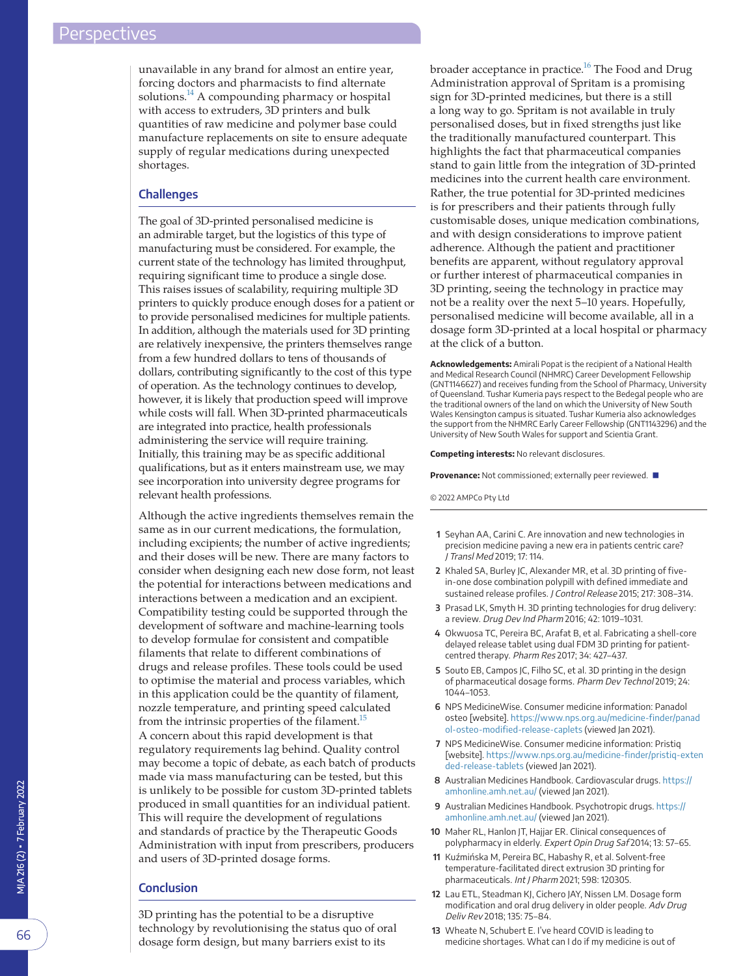unavailable in any brand for almost an entire year, forcing doctors and pharmacists to find alternate solutions.[14](#page-3-0) A compounding pharmacy or hospital with access to extruders, 3D printers and bulk quantities of raw medicine and polymer base could manufacture replacements on site to ensure adequate supply of regular medications during unexpected shortages.

# **Challenges**

The goal of 3D-printed personalised medicine is an admirable target, but the logistics of this type of manufacturing must be considered. For example, the current state of the technology has limited throughput, requiring significant time to produce a single dose. This raises issues of scalability, requiring multiple 3D printers to quickly produce enough doses for a patient or to provide personalised medicines for multiple patients. In addition, although the materials used for 3D printing are relatively inexpensive, the printers themselves range from a few hundred dollars to tens of thousands of dollars, contributing significantly to the cost of this type of operation. As the technology continues to develop, however, it is likely that production speed will improve while costs will fall. When 3D-printed pharmaceuticals are integrated into practice, health professionals administering the service will require training. Initially, this training may be as specific additional qualifications, but as it enters mainstream use, we may see incorporation into university degree programs for relevant health professions.

Although the active ingredients themselves remain the same as in our current medications, the formulation, including excipients; the number of active ingredients; and their doses will be new. There are many factors to consider when designing each new dose form, not least the potential for interactions between medications and interactions between a medication and an excipient. Compatibility testing could be supported through the development of software and machine-learning tools to develop formulae for consistent and compatible filaments that relate to different combinations of drugs and release profiles. These tools could be used to optimise the material and process variables, which in this application could be the quantity of filament, nozzle temperature, and printing speed calculated from the intrinsic properties of the filament.<sup>15</sup> A concern about this rapid development is that regulatory requirements lag behind. Quality control may become a topic of debate, as each batch of products made via mass manufacturing can be tested, but this is unlikely to be possible for custom 3D-printed tablets produced in small quantities for an individual patient. This will require the development of regulations and standards of practice by the Therapeutic Goods Administration with input from prescribers, producers and users of 3D-printed dosage forms.

# **Conclusion**

3D printing has the potential to be a disruptive technology by revolutionising the status quo of oral dosage form design, but many barriers exist to its

broader acceptance in practice.<sup>16</sup> The Food and Drug Administration approval of Spritam is a promising sign for 3D-printed medicines, but there is a still a long way to go. Spritam is not available in truly personalised doses, but in fixed strengths just like the traditionally manufactured counterpart. This highlights the fact that pharmaceutical companies stand to gain little from the integration of 3D-printed medicines into the current health care environment. Rather, the true potential for 3D-printed medicines is for prescribers and their patients through fully customisable doses, unique medication combinations, and with design considerations to improve patient adherence. Although the patient and practitioner benefits are apparent, without regulatory approval or further interest of pharmaceutical companies in 3D printing, seeing the technology in practice may not be a reality over the next 5–10 years. Hopefully, personalised medicine will become available, all in a dosage form 3D-printed at a local hospital or pharmacy at the click of a button.

**Acknowledgements:** Amirali Popat is the recipient of a National Health and Medical Research Council (NHMRC) Career Development Fellowship (GNT1146627) and receives funding from the School of Pharmacy, University of Queensland. Tushar Kumeria pays respect to the Bedegal people who are the traditional owners of the land on which the University of New South Wales Kensington campus is situated. Tushar Kumeria also acknowledges the support from the NHMRC Early Career Fellowship (GNT1143296) and the University of New South Wales for support and Scientia Grant.

**Competing interests:** No relevant disclosures.

**Provenance:** Not commissioned; externally peer reviewed. ■

© 2022 AMPCo Pty Ltd

- <span id="page-2-0"></span>**1** Seyhan AA, Carini C. Are innovation and new technologies in precision medicine paving a new era in patients centric care? J Transl Med 2019; 17: 114.
- <span id="page-2-1"></span>**2** Khaled SA, Burley JC, Alexander MR, et al. 3D printing of fivein-one dose combination polypill with defined immediate and sustained release profiles. J Control Release 2015; 217: 308–314.
- <span id="page-2-2"></span>**3** Prasad LK, Smyth H. 3D printing technologies for drug delivery: a review. Drug Dev Ind Pharm 2016; 42: 1019–1031.
- <span id="page-2-3"></span>**4** Okwuosa TC, Pereira BC, Arafat B, et al. Fabricating a shell-core delayed release tablet using dual FDM 3D printing for patientcentred therapy. Pharm Res 2017; 34: 427–437.
- <span id="page-2-4"></span>**5** Souto EB, Campos JC, Filho SC, et al. 3D printing in the design of pharmaceutical dosage forms. Pharm Dev Technol 2019; 24: 1044–1053.
- <span id="page-2-5"></span>**6** NPS MedicineWise. Consumer medicine information: Panadol osteo [website]. [https://www.nps.org.au/medicine-finder/panad](https://www.nps.org.au/medicine-finder/panadol-osteo-modified-release-caplets) [ol-osteo-modified-release-caplets](https://www.nps.org.au/medicine-finder/panadol-osteo-modified-release-caplets) (viewed Jan 2021).
- **7** NPS MedicineWise. Consumer medicine information: Pristiq [website]. [https://www.nps.org.au/medicine-finder/pristiq-exten](https://www.nps.org.au/medicine-finder/pristiq-extended-release-tablets) [ded-release-tablets](https://www.nps.org.au/medicine-finder/pristiq-extended-release-tablets) (viewed Jan 2021).
- <span id="page-2-6"></span>**8** Australian Medicines Handbook. Cardiovascular drugs. [https://](https://amhonline.amh.net.au/) [amhonline.amh.net.au/](https://amhonline.amh.net.au/) (viewed Jan 2021).
- **9** Australian Medicines Handbook. Psychotropic drugs. [https://](https://amhonline.amh.net.au/) [amhonline.amh.net.au/](https://amhonline.amh.net.au/) (viewed Jan 2021).
- <span id="page-2-7"></span>**10** Maher RL, Hanlon JT, Hajjar ER. Clinical consequences of polypharmacy in elderly. Expert Opin Drug Saf 2014; 13: 57–65.
- <span id="page-2-8"></span>**11** Kuźmińska M, Pereira BC, Habashy R, et al. Solvent-free temperature-facilitated direct extrusion 3D printing for pharmaceuticals. Int J Pharm 2021; 598: 120305.
- <span id="page-2-9"></span>**12** Lau ETL, Steadman KJ, Cichero JAY, Nissen LM. Dosage form modification and oral drug delivery in older people. Adv Drug Deliv Rev 2018; 135: 75–84.
- <span id="page-2-10"></span>**13** Wheate N, Schubert E. I've heard COVID is leading to medicine shortages. What can I do if my medicine is out of